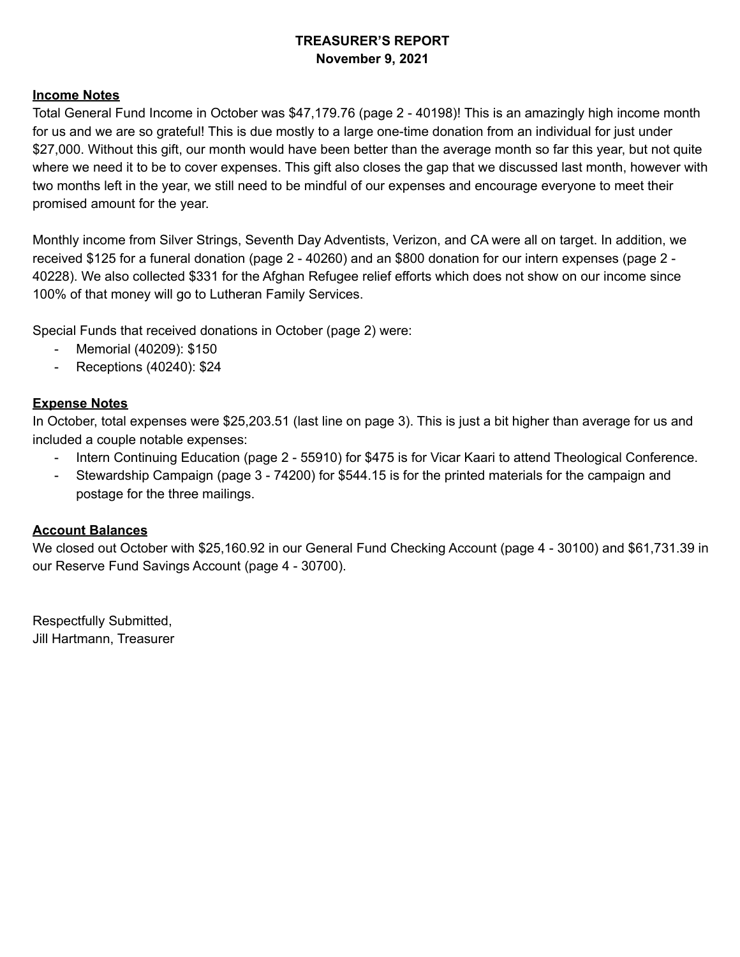# **TREASURER'S REPORT November 9, 2021**

#### **Income Notes**

Total General Fund Income in October was \$47,179.76 (page 2 - 40198)! This is an amazingly high income month for us and we are so grateful! This is due mostly to a large one-time donation from an individual for just under \$27,000. Without this gift, our month would have been better than the average month so far this year, but not quite where we need it to be to cover expenses. This gift also closes the gap that we discussed last month, however with two months left in the year, we still need to be mindful of our expenses and encourage everyone to meet their promised amount for the year.

Monthly income from Silver Strings, Seventh Day Adventists, Verizon, and CA were all on target. In addition, we received \$125 for a funeral donation (page 2 - 40260) and an \$800 donation for our intern expenses (page 2 - 40228). We also collected \$331 for the Afghan Refugee relief efforts which does not show on our income since 100% of that money will go to Lutheran Family Services.

Special Funds that received donations in October (page 2) were:

- Memorial (40209): \$150
- Receptions (40240): \$24

## **Expense Notes**

In October, total expenses were \$25,203.51 (last line on page 3). This is just a bit higher than average for us and included a couple notable expenses:

- Intern Continuing Education (page 2 55910) for \$475 is for Vicar Kaari to attend Theological Conference.
- Stewardship Campaign (page 3 74200) for \$544.15 is for the printed materials for the campaign and postage for the three mailings.

#### **Account Balances**

We closed out October with \$25,160.92 in our General Fund Checking Account (page 4 - 30100) and \$61,731.39 in our Reserve Fund Savings Account (page 4 - 30700).

Respectfully Submitted, Jill Hartmann, Treasurer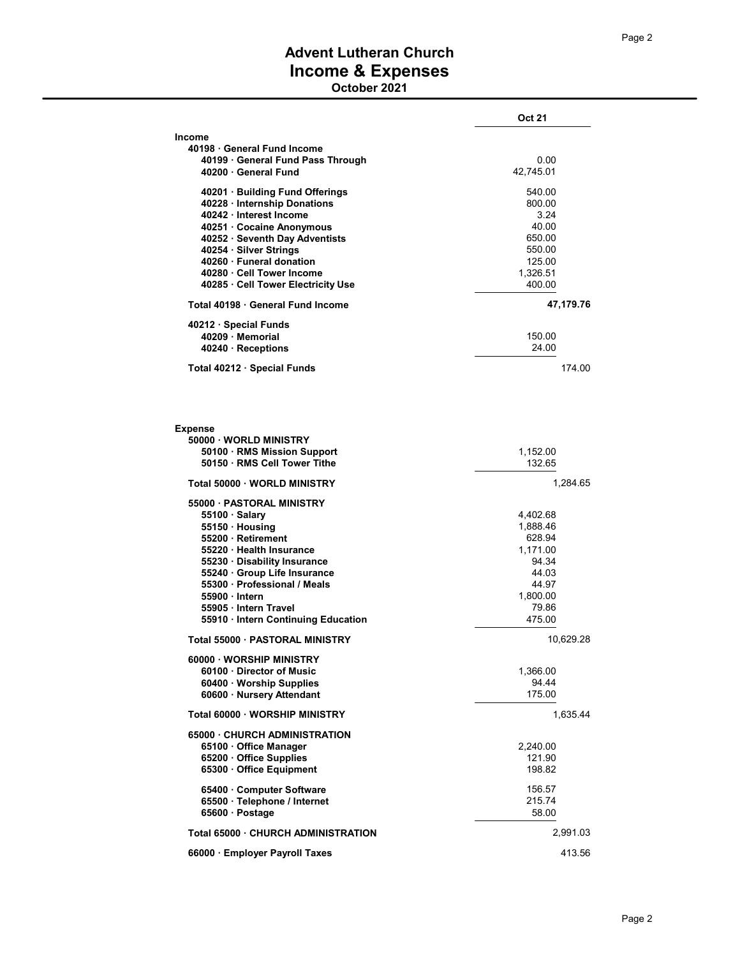# Advent Lutheran Church Income & Expenses

October 2021

|                                                    | <b>Oct 21</b>      |  |
|----------------------------------------------------|--------------------|--|
| Income                                             |                    |  |
| 40198 · General Fund Income                        |                    |  |
| 40199 General Fund Pass Through                    | 0.00               |  |
| 40200 General Fund                                 | 42,745.01          |  |
| 40201 · Building Fund Offerings                    | 540.00             |  |
| 40228 · Internship Donations                       | 800.00             |  |
| 40242 Interest Income                              | 3.24               |  |
| 40251 Cocaine Anonymous                            | 40.00              |  |
| 40252 · Seventh Day Adventists                     | 650.00<br>550.00   |  |
| 40254 · Silver Strings<br>40260 · Funeral donation |                    |  |
|                                                    | 125.00             |  |
| 40280 · Cell Tower Income                          | 1,326.51           |  |
| 40285 · Cell Tower Electricity Use                 | 400.00             |  |
| Total 40198 General Fund Income                    | 47,179.76          |  |
|                                                    |                    |  |
| 40212 · Special Funds                              |                    |  |
| 40209 Memorial                                     | 150.00             |  |
| 40240 · Receptions                                 | 24.00              |  |
| Total 40212 · Special Funds                        | 174.00             |  |
|                                                    |                    |  |
| <b>Expense</b><br>50000 WORLD MINISTRY             |                    |  |
| 50100 · RMS Mission Support                        | 1,152.00           |  |
| 50150 · RMS Cell Tower Tithe                       | 132.65             |  |
| Total 50000 · WORLD MINISTRY                       | 1,284.65           |  |
|                                                    |                    |  |
| 55000 PASTORAL MINISTRY                            |                    |  |
| 55100 · Salary                                     | 4,402.68           |  |
| 55150 · Housing<br>55200 Retirement                | 1,888.46<br>628.94 |  |
| 55220 · Health Insurance                           | 1,171.00           |  |
| 55230 · Disability Insurance                       | 94.34              |  |
| 55240 · Group Life Insurance                       | 44.03              |  |
| 55300 · Professional / Meals                       | 44.97              |  |
| 55900 Intern                                       | 1,800.00           |  |
| 55905 · Intern Travel                              | 79.86              |  |
| 55910 · Intern Continuing Education                | 475.00             |  |
|                                                    |                    |  |
| Total 55000 PASTORAL MINISTRY                      | 10,629.28          |  |
| 60000 · WORSHIP MINISTRY                           |                    |  |
| 60100 Director of Music                            | 1,366.00           |  |
| 60400 · Worship Supplies                           | 94.44              |  |
| 60600 · Nursery Attendant                          | 175.00             |  |
| <b>Total 60000 WORSHIP MINISTRY</b>                | 1,635.44           |  |
| 65000 CHURCH ADMINISTRATION                        |                    |  |
| 65100 · Office Manager                             | 2,240.00           |  |
| 65200 Office Supplies                              | 121.90             |  |
| 65300 Office Equipment                             | 198.82             |  |
| 65400 Computer Software                            | 156.57             |  |
| 65500 · Telephone / Internet                       | 215.74             |  |
| 65600 · Postage                                    | 58.00              |  |
| <b>Total 65000 CHURCH ADMINISTRATION</b>           | 2,991.03           |  |
|                                                    |                    |  |
| 66000 · Employer Payroll Taxes                     | 413.56             |  |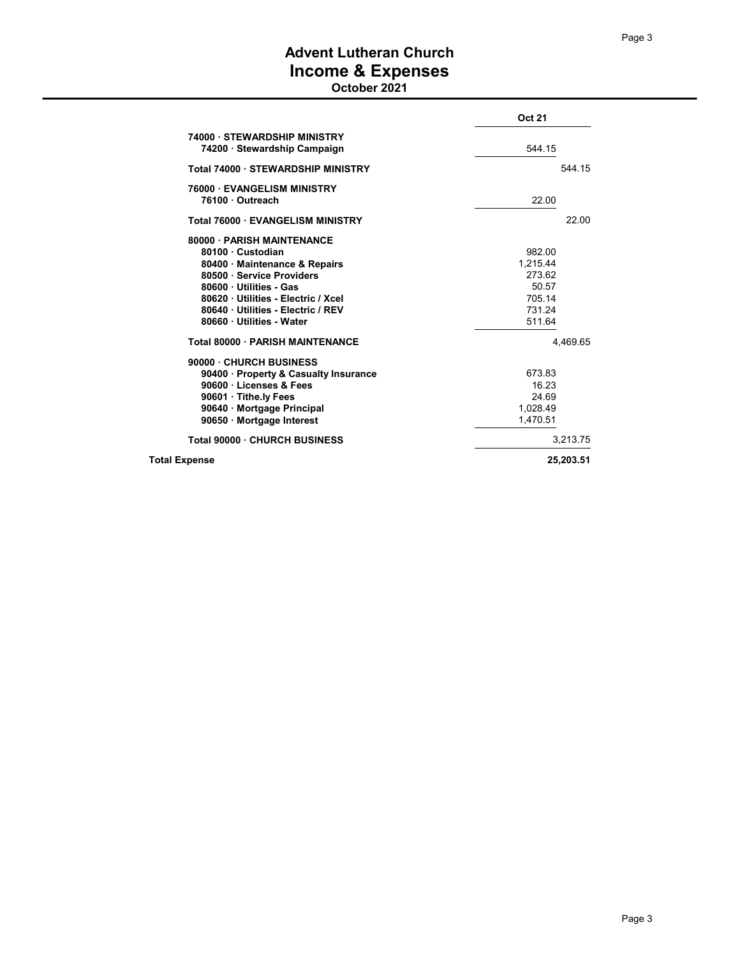# Advent Lutheran Church Income & Expenses

October 2021

|                                                    | <b>Oct 21</b> |  |
|----------------------------------------------------|---------------|--|
| 74000 STEWARDSHIP MINISTRY                         |               |  |
| 74200 · Stewardship Campaign                       | 544.15        |  |
| Total 74000 STEWARDSHIP MINISTRY                   | 544.15        |  |
| <b>76000 EVANGELISM MINISTRY</b><br>76100 Outreach | 22.00         |  |
| <b>Total 76000 EVANGELISM MINISTRY</b>             | 22.00         |  |
| 80000 · PARISH MAINTENANCE                         |               |  |
| 80100 Custodian                                    | 982.00        |  |
| 80400 Maintenance & Repairs                        | 1.215.44      |  |
| 80500 · Service Providers                          | 273.62        |  |
| 80600 · Utilities - Gas                            | 50.57         |  |
| 80620 Utilities - Electric / Xcel                  | 705.14        |  |
| 80640 Utilities - Electric / REV                   | 731.24        |  |
| 80660 Utilities - Water                            | 511.64        |  |
| Total 80000 - PARISH MAINTENANCE                   | 4.469.65      |  |
| 90000 · CHURCH BUSINESS                            |               |  |
| 90400 · Property & Casualty Insurance              | 673.83        |  |
| 90600 · Licenses & Fees                            | 16.23         |  |
| 90601 Tithe.ly Fees                                | 24.69         |  |
| 90640 · Mortgage Principal                         | 1.028.49      |  |
| 90650 · Mortgage Interest                          | 1,470.51      |  |
| Total 90000 CHURCH BUSINESS                        | 3,213.75      |  |
| <b>Total Expense</b>                               |               |  |